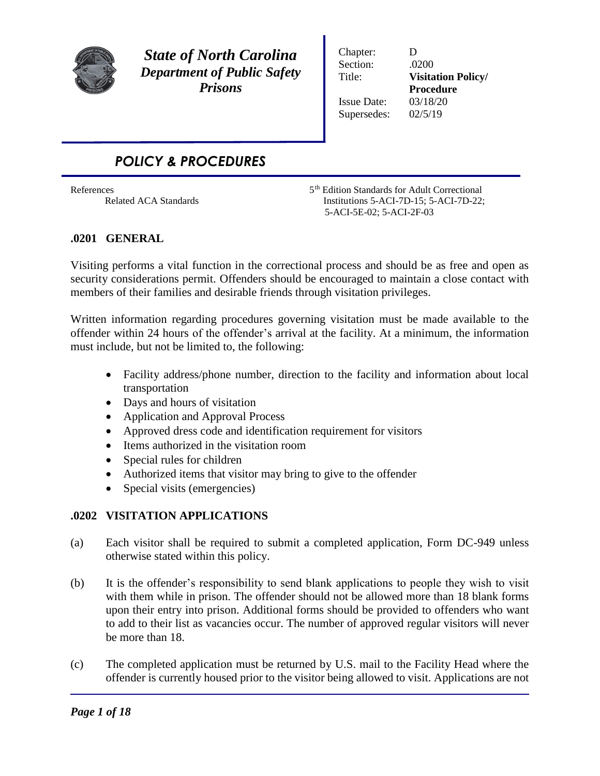

*State of North Carolina Department of Public Safety Prisons*

Chapter: D Section: .0200 Issue Date: 03/18/20 Supersedes: 02/5/19

Title: **Visitation Policy/ Procedure**

# *POLICY & PROCEDURES*

References 5<sup>th</sup> Edition Standards for Adult Correctional Related ACA Standards Institutions 5-ACI-7D-15; 5-ACI-7D-22; 5-ACI-5E-02; 5-ACI-2F-03

## **.0201 GENERAL**

Visiting performs a vital function in the correctional process and should be as free and open as security considerations permit. Offenders should be encouraged to maintain a close contact with members of their families and desirable friends through visitation privileges.

Written information regarding procedures governing visitation must be made available to the offender within 24 hours of the offender's arrival at the facility. At a minimum, the information must include, but not be limited to, the following:

- Facility address/phone number, direction to the facility and information about local transportation
- Days and hours of visitation
- Application and Approval Process
- Approved dress code and identification requirement for visitors
- Items authorized in the visitation room
- Special rules for children
- Authorized items that visitor may bring to give to the offender
- Special visits (emergencies)

## **.0202 VISITATION APPLICATIONS**

- (a) Each visitor shall be required to submit a completed application, Form DC-949 unless otherwise stated within this policy.
- (b) It is the offender's responsibility to send blank applications to people they wish to visit with them while in prison. The offender should not be allowed more than 18 blank forms upon their entry into prison. Additional forms should be provided to offenders who want to add to their list as vacancies occur. The number of approved regular visitors will never be more than 18.
- (c) The completed application must be returned by U.S. mail to the Facility Head where the offender is currently housed prior to the visitor being allowed to visit. Applications are not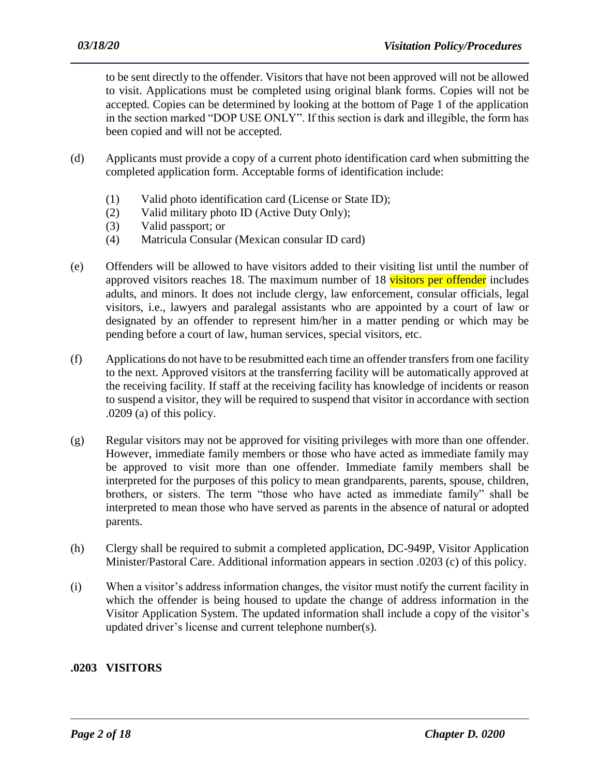to be sent directly to the offender. Visitors that have not been approved will not be allowed to visit. Applications must be completed using original blank forms. Copies will not be accepted. Copies can be determined by looking at the bottom of Page 1 of the application in the section marked "DOP USE ONLY". If this section is dark and illegible, the form has been copied and will not be accepted.

- (d) Applicants must provide a copy of a current photo identification card when submitting the completed application form. Acceptable forms of identification include:
	- (1) Valid photo identification card (License or State ID);
	- (2) Valid military photo ID (Active Duty Only);
	- (3) Valid passport; or
	- (4) Matricula Consular (Mexican consular ID card)
- (e) Offenders will be allowed to have visitors added to their visiting list until the number of approved visitors reaches 18. The maximum number of 18 visitors per offender includes adults, and minors. It does not include clergy, law enforcement, consular officials, legal visitors, i.e., lawyers and paralegal assistants who are appointed by a court of law or designated by an offender to represent him/her in a matter pending or which may be pending before a court of law, human services, special visitors, etc.
- (f) Applications do not have to be resubmitted each time an offender transfers from one facility to the next. Approved visitors at the transferring facility will be automatically approved at the receiving facility. If staff at the receiving facility has knowledge of incidents or reason to suspend a visitor, they will be required to suspend that visitor in accordance with section .0209 (a) of this policy.
- (g) Regular visitors may not be approved for visiting privileges with more than one offender. However, immediate family members or those who have acted as immediate family may be approved to visit more than one offender. Immediate family members shall be interpreted for the purposes of this policy to mean grandparents, parents, spouse, children, brothers, or sisters. The term "those who have acted as immediate family" shall be interpreted to mean those who have served as parents in the absence of natural or adopted parents.
- (h) Clergy shall be required to submit a completed application, DC-949P, Visitor Application Minister/Pastoral Care. Additional information appears in section .0203 (c) of this policy.
- (i) When a visitor's address information changes, the visitor must notify the current facility in which the offender is being housed to update the change of address information in the Visitor Application System. The updated information shall include a copy of the visitor's updated driver's license and current telephone number(s).

## **.0203 VISITORS**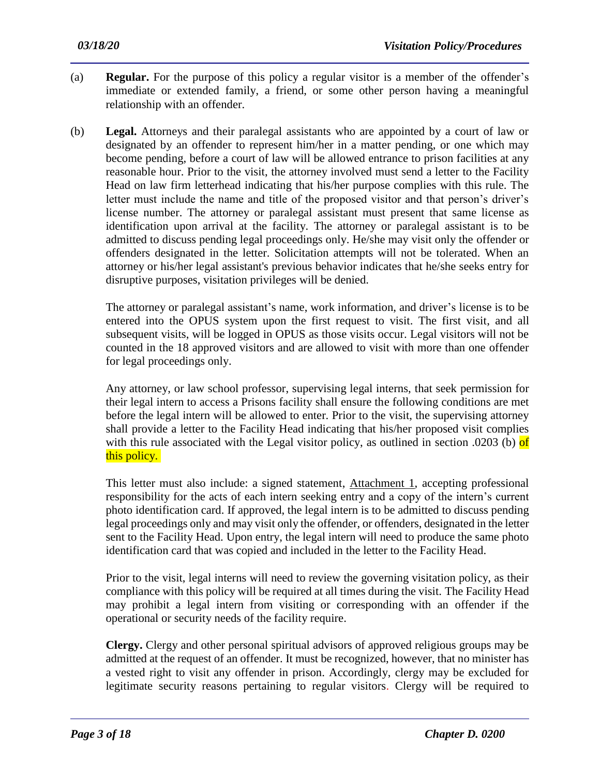- (a) **Regular.** For the purpose of this policy a regular visitor is a member of the offender's immediate or extended family, a friend, or some other person having a meaningful relationship with an offender.
- (b) **Legal.** Attorneys and their paralegal assistants who are appointed by a court of law or designated by an offender to represent him/her in a matter pending, or one which may become pending, before a court of law will be allowed entrance to prison facilities at any reasonable hour. Prior to the visit, the attorney involved must send a letter to the Facility Head on law firm letterhead indicating that his/her purpose complies with this rule. The letter must include the name and title of the proposed visitor and that person's driver's license number. The attorney or paralegal assistant must present that same license as identification upon arrival at the facility. The attorney or paralegal assistant is to be admitted to discuss pending legal proceedings only. He/she may visit only the offender or offenders designated in the letter. Solicitation attempts will not be tolerated. When an attorney or his/her legal assistant's previous behavior indicates that he/she seeks entry for disruptive purposes, visitation privileges will be denied.

The attorney or paralegal assistant's name, work information, and driver's license is to be entered into the OPUS system upon the first request to visit. The first visit, and all subsequent visits, will be logged in OPUS as those visits occur. Legal visitors will not be counted in the 18 approved visitors and are allowed to visit with more than one offender for legal proceedings only.

Any attorney, or law school professor, supervising legal interns, that seek permission for their legal intern to access a Prisons facility shall ensure the following conditions are met before the legal intern will be allowed to enter. Prior to the visit, the supervising attorney shall provide a letter to the Facility Head indicating that his/her proposed visit complies with this rule associated with the Legal visitor policy, as outlined in section .0203 (b) of this policy.

This letter must also include: a signed statement, Attachment 1, accepting professional responsibility for the acts of each intern seeking entry and a copy of the intern's current photo identification card. If approved, the legal intern is to be admitted to discuss pending legal proceedings only and may visit only the offender, or offenders, designated in the letter sent to the Facility Head. Upon entry, the legal intern will need to produce the same photo identification card that was copied and included in the letter to the Facility Head.

Prior to the visit, legal interns will need to review the governing visitation policy, as their compliance with this policy will be required at all times during the visit. The Facility Head may prohibit a legal intern from visiting or corresponding with an offender if the operational or security needs of the facility require.

**Clergy.** Clergy and other personal spiritual advisors of approved religious groups may be admitted at the request of an offender. It must be recognized, however, that no minister has a vested right to visit any offender in prison. Accordingly, clergy may be excluded for legitimate security reasons pertaining to regular visitors. Clergy will be required to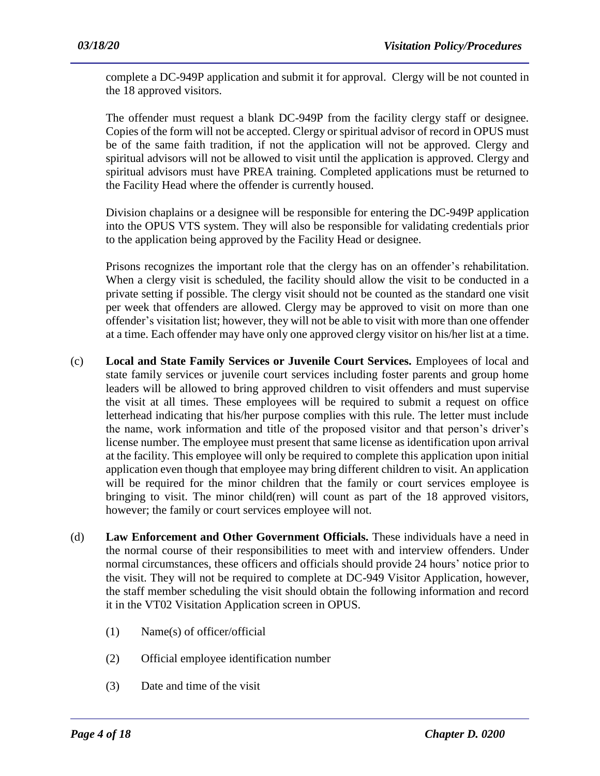complete a DC-949P application and submit it for approval. Clergy will be not counted in the 18 approved visitors.

The offender must request a blank DC-949P from the facility clergy staff or designee. Copies of the form will not be accepted. Clergy or spiritual advisor of record in OPUS must be of the same faith tradition, if not the application will not be approved. Clergy and spiritual advisors will not be allowed to visit until the application is approved. Clergy and spiritual advisors must have PREA training. Completed applications must be returned to the Facility Head where the offender is currently housed.

Division chaplains or a designee will be responsible for entering the DC-949P application into the OPUS VTS system. They will also be responsible for validating credentials prior to the application being approved by the Facility Head or designee.

Prisons recognizes the important role that the clergy has on an offender's rehabilitation. When a clergy visit is scheduled, the facility should allow the visit to be conducted in a private setting if possible. The clergy visit should not be counted as the standard one visit per week that offenders are allowed. Clergy may be approved to visit on more than one offender's visitation list; however, they will not be able to visit with more than one offender at a time. Each offender may have only one approved clergy visitor on his/her list at a time.

- (c) **Local and State Family Services or Juvenile Court Services.** Employees of local and state family services or juvenile court services including foster parents and group home leaders will be allowed to bring approved children to visit offenders and must supervise the visit at all times. These employees will be required to submit a request on office letterhead indicating that his/her purpose complies with this rule. The letter must include the name, work information and title of the proposed visitor and that person's driver's license number. The employee must present that same license as identification upon arrival at the facility. This employee will only be required to complete this application upon initial application even though that employee may bring different children to visit. An application will be required for the minor children that the family or court services employee is bringing to visit. The minor child(ren) will count as part of the 18 approved visitors, however; the family or court services employee will not.
- (d) **Law Enforcement and Other Government Officials.** These individuals have a need in the normal course of their responsibilities to meet with and interview offenders. Under normal circumstances, these officers and officials should provide 24 hours' notice prior to the visit. They will not be required to complete at DC-949 Visitor Application, however, the staff member scheduling the visit should obtain the following information and record it in the VT02 Visitation Application screen in OPUS.

- (1) Name(s) of officer/official
- (2) Official employee identification number
- (3) Date and time of the visit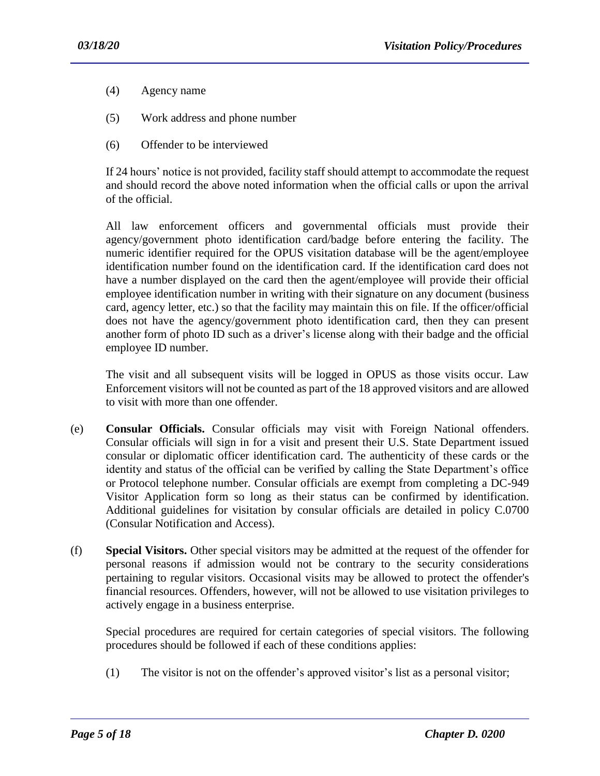- (4) Agency name
- (5) Work address and phone number
- (6) Offender to be interviewed

If 24 hours' notice is not provided, facility staff should attempt to accommodate the request and should record the above noted information when the official calls or upon the arrival of the official.

All law enforcement officers and governmental officials must provide their agency/government photo identification card/badge before entering the facility. The numeric identifier required for the OPUS visitation database will be the agent/employee identification number found on the identification card. If the identification card does not have a number displayed on the card then the agent/employee will provide their official employee identification number in writing with their signature on any document (business card, agency letter, etc.) so that the facility may maintain this on file. If the officer/official does not have the agency/government photo identification card, then they can present another form of photo ID such as a driver's license along with their badge and the official employee ID number.

The visit and all subsequent visits will be logged in OPUS as those visits occur. Law Enforcement visitors will not be counted as part of the 18 approved visitors and are allowed to visit with more than one offender.

- (e) **Consular Officials.** Consular officials may visit with Foreign National offenders. Consular officials will sign in for a visit and present their U.S. State Department issued consular or diplomatic officer identification card. The authenticity of these cards or the identity and status of the official can be verified by calling the State Department's office or Protocol telephone number. Consular officials are exempt from completing a DC-949 Visitor Application form so long as their status can be confirmed by identification. Additional guidelines for visitation by consular officials are detailed in policy C.0700 (Consular Notification and Access).
- (f) **Special Visitors.** Other special visitors may be admitted at the request of the offender for personal reasons if admission would not be contrary to the security considerations pertaining to regular visitors. Occasional visits may be allowed to protect the offender's financial resources. Offenders, however, will not be allowed to use visitation privileges to actively engage in a business enterprise.

Special procedures are required for certain categories of special visitors. The following procedures should be followed if each of these conditions applies:

(1) The visitor is not on the offender's approved visitor's list as a personal visitor;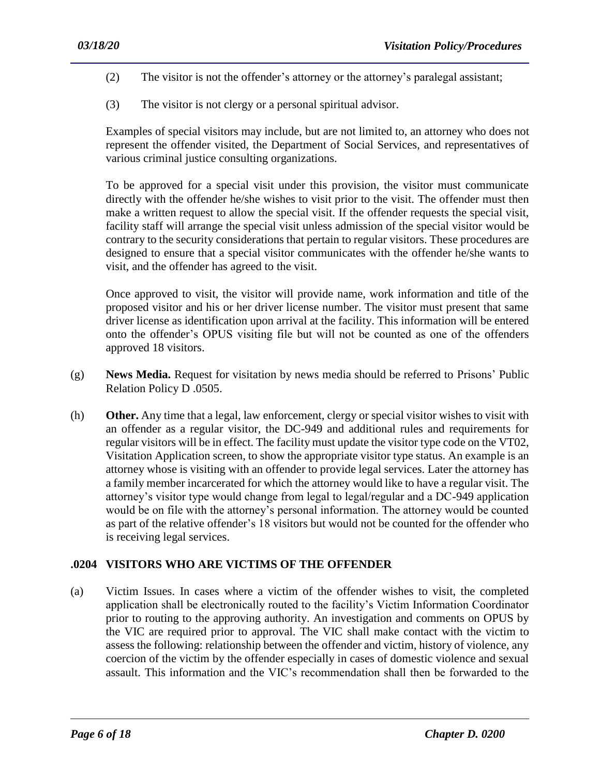- (2) The visitor is not the offender's attorney or the attorney's paralegal assistant;
- (3) The visitor is not clergy or a personal spiritual advisor.

Examples of special visitors may include, but are not limited to, an attorney who does not represent the offender visited, the Department of Social Services, and representatives of various criminal justice consulting organizations.

To be approved for a special visit under this provision, the visitor must communicate directly with the offender he/she wishes to visit prior to the visit. The offender must then make a written request to allow the special visit. If the offender requests the special visit, facility staff will arrange the special visit unless admission of the special visitor would be contrary to the security considerations that pertain to regular visitors. These procedures are designed to ensure that a special visitor communicates with the offender he/she wants to visit, and the offender has agreed to the visit.

Once approved to visit, the visitor will provide name, work information and title of the proposed visitor and his or her driver license number. The visitor must present that same driver license as identification upon arrival at the facility. This information will be entered onto the offender's OPUS visiting file but will not be counted as one of the offenders approved 18 visitors.

- (g) **News Media.** Request for visitation by news media should be referred to Prisons' Public Relation Policy D .0505.
- (h) **Other.** Any time that a legal, law enforcement, clergy or special visitor wishes to visit with an offender as a regular visitor, the DC-949 and additional rules and requirements for regular visitors will be in effect. The facility must update the visitor type code on the VT02, Visitation Application screen, to show the appropriate visitor type status. An example is an attorney whose is visiting with an offender to provide legal services. Later the attorney has a family member incarcerated for which the attorney would like to have a regular visit. The attorney's visitor type would change from legal to legal/regular and a DC-949 application would be on file with the attorney's personal information. The attorney would be counted as part of the relative offender's 18 visitors but would not be counted for the offender who is receiving legal services.

## **.0204 VISITORS WHO ARE VICTIMS OF THE OFFENDER**

(a) Victim Issues. In cases where a victim of the offender wishes to visit, the completed application shall be electronically routed to the facility's Victim Information Coordinator prior to routing to the approving authority. An investigation and comments on OPUS by the VIC are required prior to approval. The VIC shall make contact with the victim to assess the following: relationship between the offender and victim, history of violence, any coercion of the victim by the offender especially in cases of domestic violence and sexual assault. This information and the VIC's recommendation shall then be forwarded to the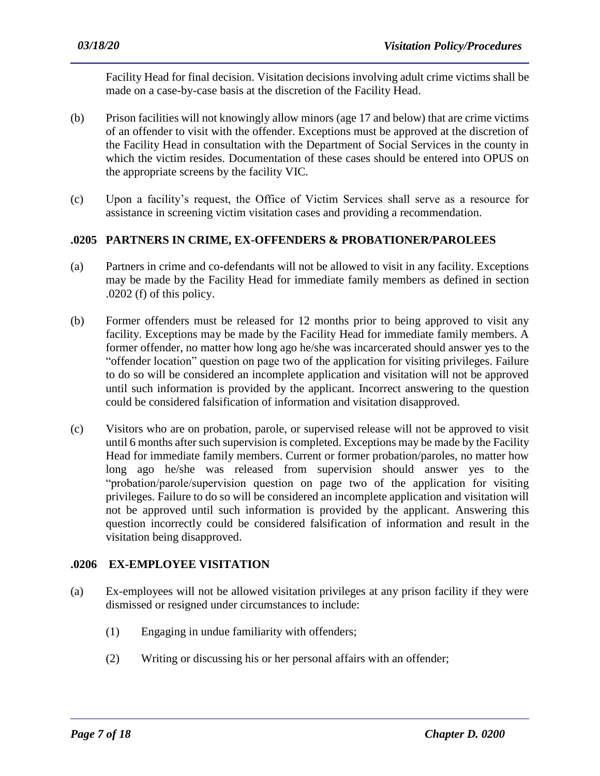Facility Head for final decision. Visitation decisions involving adult crime victims shall be made on a case-by-case basis at the discretion of the Facility Head.

- (b) Prison facilities will not knowingly allow minors (age 17 and below) that are crime victims of an offender to visit with the offender. Exceptions must be approved at the discretion of the Facility Head in consultation with the Department of Social Services in the county in which the victim resides. Documentation of these cases should be entered into OPUS on the appropriate screens by the facility VIC.
- (c) Upon a facility's request, the Office of Victim Services shall serve as a resource for assistance in screening victim visitation cases and providing a recommendation.

#### **.0205 PARTNERS IN CRIME, EX-OFFENDERS & PROBATIONER/PAROLEES**

- (a) Partners in crime and co-defendants will not be allowed to visit in any facility. Exceptions may be made by the Facility Head for immediate family members as defined in section .0202 (f) of this policy.
- (b) Former offenders must be released for 12 months prior to being approved to visit any facility. Exceptions may be made by the Facility Head for immediate family members. A former offender, no matter how long ago he/she was incarcerated should answer yes to the "offender location" question on page two of the application for visiting privileges. Failure to do so will be considered an incomplete application and visitation will not be approved until such information is provided by the applicant. Incorrect answering to the question could be considered falsification of information and visitation disapproved.
- (c) Visitors who are on probation, parole, or supervised release will not be approved to visit until 6 months after such supervision is completed. Exceptions may be made by the Facility Head for immediate family members. Current or former probation/paroles, no matter how long ago he/she was released from supervision should answer yes to the "probation/parole/supervision question on page two of the application for visiting privileges. Failure to do so will be considered an incomplete application and visitation will not be approved until such information is provided by the applicant. Answering this question incorrectly could be considered falsification of information and result in the visitation being disapproved.

#### **.0206 EX-EMPLOYEE VISITATION**

- (a) Ex-employees will not be allowed visitation privileges at any prison facility if they were dismissed or resigned under circumstances to include:
	- (1) Engaging in undue familiarity with offenders;
	- (2) Writing or discussing his or her personal affairs with an offender;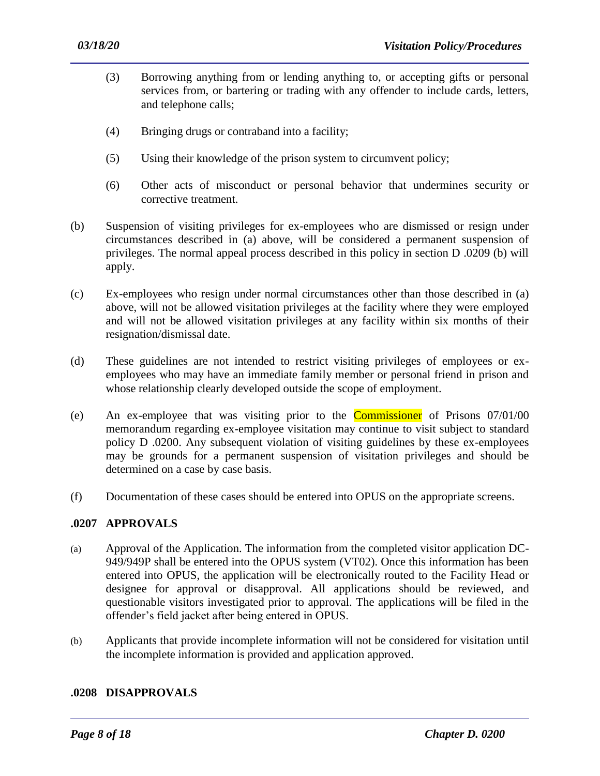- (3) Borrowing anything from or lending anything to, or accepting gifts or personal services from, or bartering or trading with any offender to include cards, letters, and telephone calls;
- (4) Bringing drugs or contraband into a facility;
- (5) Using their knowledge of the prison system to circumvent policy;
- (6) Other acts of misconduct or personal behavior that undermines security or corrective treatment.
- (b) Suspension of visiting privileges for ex-employees who are dismissed or resign under circumstances described in (a) above, will be considered a permanent suspension of privileges. The normal appeal process described in this policy in section D .0209 (b) will apply.
- (c) Ex-employees who resign under normal circumstances other than those described in (a) above, will not be allowed visitation privileges at the facility where they were employed and will not be allowed visitation privileges at any facility within six months of their resignation/dismissal date.
- (d) These guidelines are not intended to restrict visiting privileges of employees or exemployees who may have an immediate family member or personal friend in prison and whose relationship clearly developed outside the scope of employment.
- (e) An ex-employee that was visiting prior to the Commissioner of Prisons 07/01/00 memorandum regarding ex-employee visitation may continue to visit subject to standard policy D .0200. Any subsequent violation of visiting guidelines by these ex-employees may be grounds for a permanent suspension of visitation privileges and should be determined on a case by case basis.
- (f) Documentation of these cases should be entered into OPUS on the appropriate screens.

## **.0207 APPROVALS**

- (a) Approval of the Application. The information from the completed visitor application DC-949/949P shall be entered into the OPUS system (VT02). Once this information has been entered into OPUS, the application will be electronically routed to the Facility Head or designee for approval or disapproval. All applications should be reviewed, and questionable visitors investigated prior to approval. The applications will be filed in the offender's field jacket after being entered in OPUS.
- (b) Applicants that provide incomplete information will not be considered for visitation until the incomplete information is provided and application approved.

#### **.0208 DISAPPROVALS**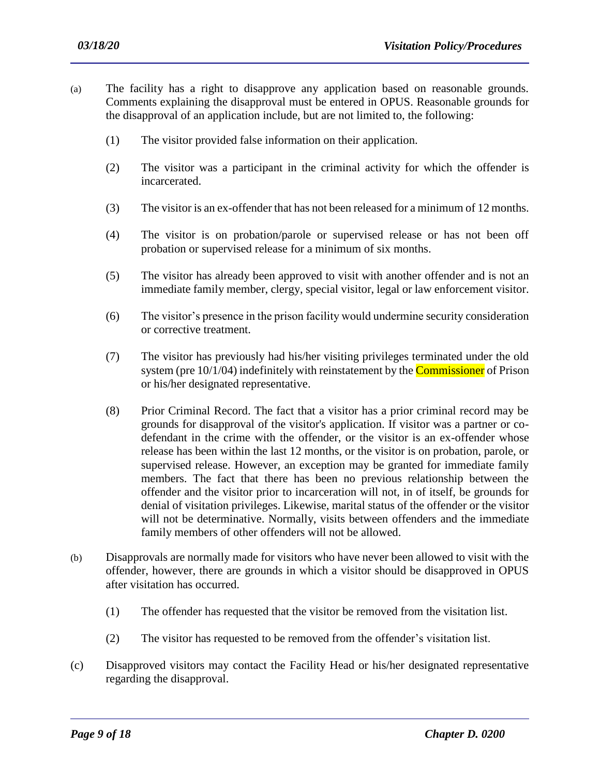- (a) The facility has a right to disapprove any application based on reasonable grounds. Comments explaining the disapproval must be entered in OPUS. Reasonable grounds for the disapproval of an application include, but are not limited to, the following:
	- (1) The visitor provided false information on their application.
	- (2) The visitor was a participant in the criminal activity for which the offender is incarcerated.
	- (3) The visitor is an ex-offender that has not been released for a minimum of 12 months.
	- (4) The visitor is on probation/parole or supervised release or has not been off probation or supervised release for a minimum of six months.
	- (5) The visitor has already been approved to visit with another offender and is not an immediate family member, clergy, special visitor, legal or law enforcement visitor.
	- (6) The visitor's presence in the prison facility would undermine security consideration or corrective treatment.
	- (7) The visitor has previously had his/her visiting privileges terminated under the old system (pre 10/1/04) indefinitely with reinstatement by the **Commissioner** of Prison or his/her designated representative.
	- (8) Prior Criminal Record. The fact that a visitor has a prior criminal record may be grounds for disapproval of the visitor's application. If visitor was a partner or codefendant in the crime with the offender, or the visitor is an ex-offender whose release has been within the last 12 months, or the visitor is on probation, parole, or supervised release. However, an exception may be granted for immediate family members. The fact that there has been no previous relationship between the offender and the visitor prior to incarceration will not, in of itself, be grounds for denial of visitation privileges. Likewise, marital status of the offender or the visitor will not be determinative. Normally, visits between offenders and the immediate family members of other offenders will not be allowed.
- (b) Disapprovals are normally made for visitors who have never been allowed to visit with the offender, however, there are grounds in which a visitor should be disapproved in OPUS after visitation has occurred.
	- (1) The offender has requested that the visitor be removed from the visitation list.
	- (2) The visitor has requested to be removed from the offender's visitation list.
- (c) Disapproved visitors may contact the Facility Head or his/her designated representative regarding the disapproval.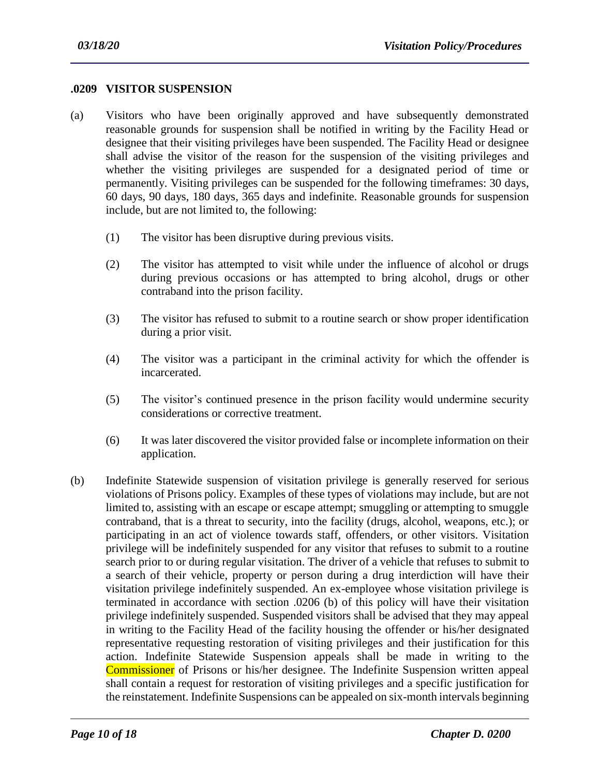#### **.0209 VISITOR SUSPENSION**

- (a) Visitors who have been originally approved and have subsequently demonstrated reasonable grounds for suspension shall be notified in writing by the Facility Head or designee that their visiting privileges have been suspended. The Facility Head or designee shall advise the visitor of the reason for the suspension of the visiting privileges and whether the visiting privileges are suspended for a designated period of time or permanently. Visiting privileges can be suspended for the following timeframes: 30 days, 60 days, 90 days, 180 days, 365 days and indefinite. Reasonable grounds for suspension include, but are not limited to, the following:
	- (1) The visitor has been disruptive during previous visits.
	- (2) The visitor has attempted to visit while under the influence of alcohol or drugs during previous occasions or has attempted to bring alcohol, drugs or other contraband into the prison facility.
	- (3) The visitor has refused to submit to a routine search or show proper identification during a prior visit.
	- (4) The visitor was a participant in the criminal activity for which the offender is incarcerated.
	- (5) The visitor's continued presence in the prison facility would undermine security considerations or corrective treatment.
	- (6) It was later discovered the visitor provided false or incomplete information on their application.
- (b) Indefinite Statewide suspension of visitation privilege is generally reserved for serious violations of Prisons policy. Examples of these types of violations may include, but are not limited to, assisting with an escape or escape attempt; smuggling or attempting to smuggle contraband, that is a threat to security, into the facility (drugs, alcohol, weapons, etc.); or participating in an act of violence towards staff, offenders, or other visitors. Visitation privilege will be indefinitely suspended for any visitor that refuses to submit to a routine search prior to or during regular visitation. The driver of a vehicle that refuses to submit to a search of their vehicle, property or person during a drug interdiction will have their visitation privilege indefinitely suspended. An ex-employee whose visitation privilege is terminated in accordance with section .0206 (b) of this policy will have their visitation privilege indefinitely suspended. Suspended visitors shall be advised that they may appeal in writing to the Facility Head of the facility housing the offender or his/her designated representative requesting restoration of visiting privileges and their justification for this action. Indefinite Statewide Suspension appeals shall be made in writing to the Commissioner of Prisons or his/her designee. The Indefinite Suspension written appeal shall contain a request for restoration of visiting privileges and a specific justification for the reinstatement. Indefinite Suspensions can be appealed on six-month intervals beginning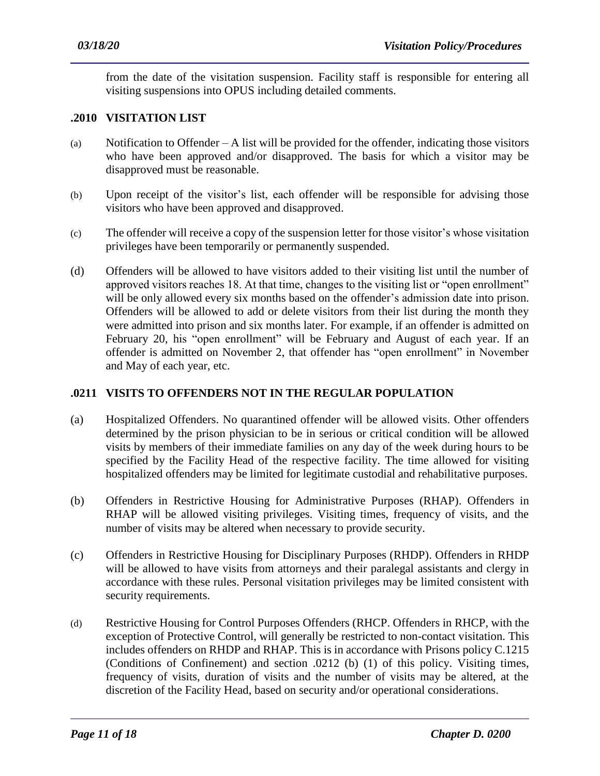from the date of the visitation suspension. Facility staff is responsible for entering all visiting suspensions into OPUS including detailed comments.

## **.2010 VISITATION LIST**

- (a) Notification to Offender A list will be provided for the offender, indicating those visitors who have been approved and/or disapproved. The basis for which a visitor may be disapproved must be reasonable.
- (b) Upon receipt of the visitor's list, each offender will be responsible for advising those visitors who have been approved and disapproved.
- (c) The offender will receive a copy of the suspension letter for those visitor's whose visitation privileges have been temporarily or permanently suspended.
- (d) Offenders will be allowed to have visitors added to their visiting list until the number of approved visitors reaches 18. At that time, changes to the visiting list or "open enrollment" will be only allowed every six months based on the offender's admission date into prison. Offenders will be allowed to add or delete visitors from their list during the month they were admitted into prison and six months later. For example, if an offender is admitted on February 20, his "open enrollment" will be February and August of each year. If an offender is admitted on November 2, that offender has "open enrollment" in November and May of each year, etc.

## **.0211 VISITS TO OFFENDERS NOT IN THE REGULAR POPULATION**

- (a) Hospitalized Offenders. No quarantined offender will be allowed visits. Other offenders determined by the prison physician to be in serious or critical condition will be allowed visits by members of their immediate families on any day of the week during hours to be specified by the Facility Head of the respective facility. The time allowed for visiting hospitalized offenders may be limited for legitimate custodial and rehabilitative purposes.
- (b) Offenders in Restrictive Housing for Administrative Purposes (RHAP). Offenders in RHAP will be allowed visiting privileges. Visiting times, frequency of visits, and the number of visits may be altered when necessary to provide security.
- (c) Offenders in Restrictive Housing for Disciplinary Purposes (RHDP). Offenders in RHDP will be allowed to have visits from attorneys and their paralegal assistants and clergy in accordance with these rules. Personal visitation privileges may be limited consistent with security requirements.
- (d) Restrictive Housing for Control Purposes Offenders (RHCP. Offenders in RHCP, with the exception of Protective Control, will generally be restricted to non-contact visitation. This includes offenders on RHDP and RHAP. This is in accordance with Prisons policy C.1215 (Conditions of Confinement) and section .0212 (b) (1) of this policy. Visiting times, frequency of visits, duration of visits and the number of visits may be altered, at the discretion of the Facility Head, based on security and/or operational considerations.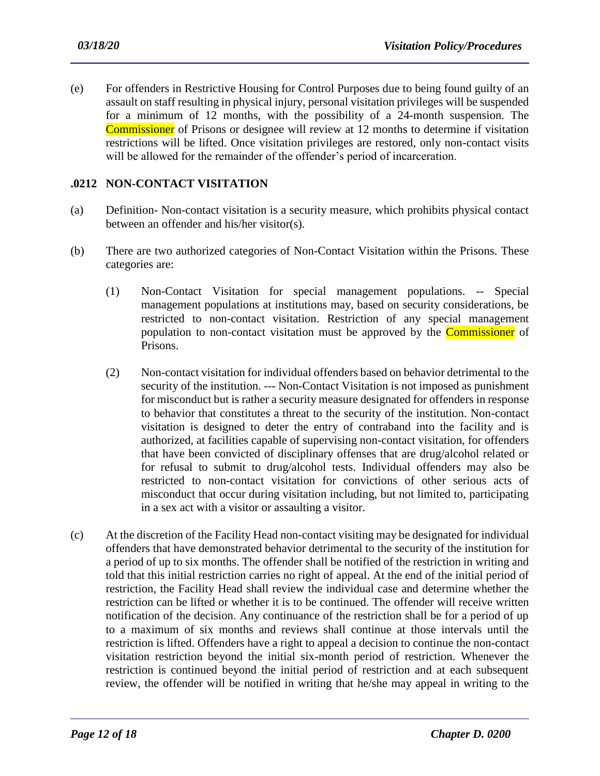(e) For offenders in Restrictive Housing for Control Purposes due to being found guilty of an assault on staff resulting in physical injury, personal visitation privileges will be suspended for a minimum of 12 months, with the possibility of a 24-month suspension. The Commissioner of Prisons or designee will review at 12 months to determine if visitation restrictions will be lifted. Once visitation privileges are restored, only non-contact visits will be allowed for the remainder of the offender's period of incarceration.

#### **.0212 NON-CONTACT VISITATION**

- (a) Definition- Non-contact visitation is a security measure, which prohibits physical contact between an offender and his/her visitor(s).
- (b) There are two authorized categories of Non-Contact Visitation within the Prisons. These categories are:
	- (1) Non-Contact Visitation for special management populations. -- Special management populations at institutions may, based on security considerations, be restricted to non-contact visitation. Restriction of any special management population to non-contact visitation must be approved by the **Commissioner** of Prisons.
	- (2) Non-contact visitation for individual offenders based on behavior detrimental to the security of the institution. --- Non-Contact Visitation is not imposed as punishment for misconduct but is rather a security measure designated for offenders in response to behavior that constitutes a threat to the security of the institution. Non-contact visitation is designed to deter the entry of contraband into the facility and is authorized, at facilities capable of supervising non-contact visitation, for offenders that have been convicted of disciplinary offenses that are drug/alcohol related or for refusal to submit to drug/alcohol tests. Individual offenders may also be restricted to non-contact visitation for convictions of other serious acts of misconduct that occur during visitation including, but not limited to, participating in a sex act with a visitor or assaulting a visitor.
- (c) At the discretion of the Facility Head non-contact visiting may be designated for individual offenders that have demonstrated behavior detrimental to the security of the institution for a period of up to six months. The offender shall be notified of the restriction in writing and told that this initial restriction carries no right of appeal. At the end of the initial period of restriction, the Facility Head shall review the individual case and determine whether the restriction can be lifted or whether it is to be continued. The offender will receive written notification of the decision. Any continuance of the restriction shall be for a period of up to a maximum of six months and reviews shall continue at those intervals until the restriction is lifted. Offenders have a right to appeal a decision to continue the non-contact visitation restriction beyond the initial six-month period of restriction. Whenever the restriction is continued beyond the initial period of restriction and at each subsequent review, the offender will be notified in writing that he/she may appeal in writing to the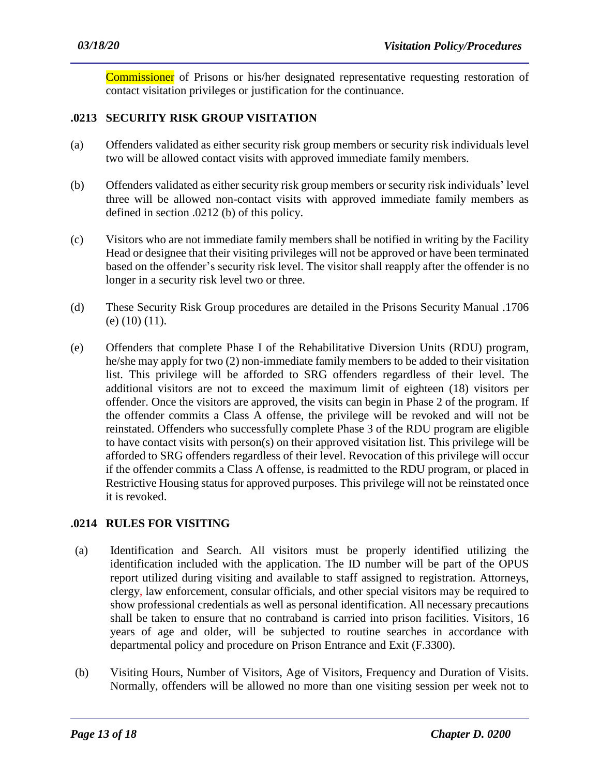Commissioner of Prisons or his/her designated representative requesting restoration of contact visitation privileges or justification for the continuance.

## **.0213 SECURITY RISK GROUP VISITATION**

- (a) Offenders validated as either security risk group members or security risk individuals level two will be allowed contact visits with approved immediate family members.
- (b) Offenders validated as either security risk group members or security risk individuals' level three will be allowed non-contact visits with approved immediate family members as defined in section .0212 (b) of this policy.
- (c) Visitors who are not immediate family members shall be notified in writing by the Facility Head or designee that their visiting privileges will not be approved or have been terminated based on the offender's security risk level. The visitor shall reapply after the offender is no longer in a security risk level two or three.
- (d) These Security Risk Group procedures are detailed in the Prisons Security Manual .1706 (e) (10) (11).
- (e) Offenders that complete Phase I of the Rehabilitative Diversion Units (RDU) program, he/she may apply for two (2) non-immediate family members to be added to their visitation list. This privilege will be afforded to SRG offenders regardless of their level. The additional visitors are not to exceed the maximum limit of eighteen (18) visitors per offender. Once the visitors are approved, the visits can begin in Phase 2 of the program. If the offender commits a Class A offense, the privilege will be revoked and will not be reinstated. Offenders who successfully complete Phase 3 of the RDU program are eligible to have contact visits with person(s) on their approved visitation list. This privilege will be afforded to SRG offenders regardless of their level. Revocation of this privilege will occur if the offender commits a Class A offense, is readmitted to the RDU program, or placed in Restrictive Housing status for approved purposes. This privilege will not be reinstated once it is revoked.

#### **.0214 RULES FOR VISITING**

- (a) Identification and Search. All visitors must be properly identified utilizing the identification included with the application. The ID number will be part of the OPUS report utilized during visiting and available to staff assigned to registration. Attorneys, clergy, law enforcement, consular officials, and other special visitors may be required to show professional credentials as well as personal identification. All necessary precautions shall be taken to ensure that no contraband is carried into prison facilities. Visitors, 16 years of age and older, will be subjected to routine searches in accordance with departmental policy and procedure on Prison Entrance and Exit (F.3300).
- (b) Visiting Hours, Number of Visitors, Age of Visitors, Frequency and Duration of Visits. Normally, offenders will be allowed no more than one visiting session per week not to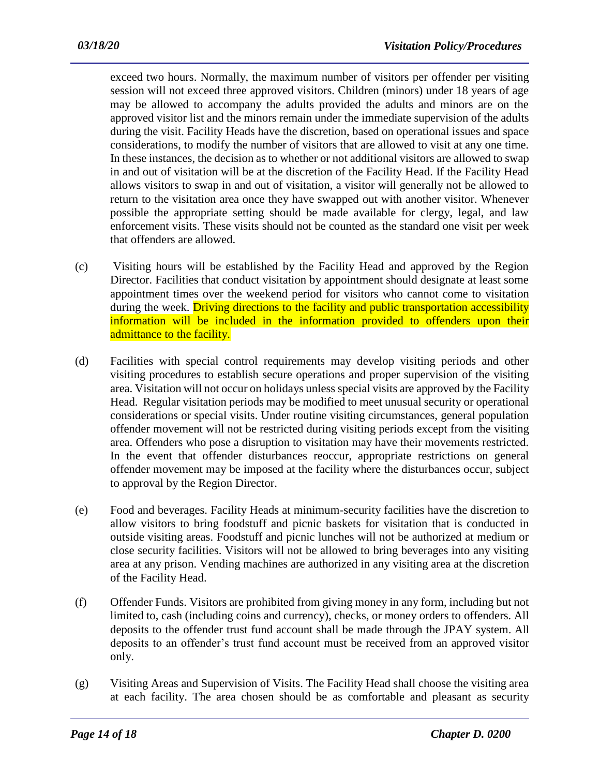exceed two hours. Normally, the maximum number of visitors per offender per visiting session will not exceed three approved visitors. Children (minors) under 18 years of age may be allowed to accompany the adults provided the adults and minors are on the approved visitor list and the minors remain under the immediate supervision of the adults during the visit. Facility Heads have the discretion, based on operational issues and space considerations, to modify the number of visitors that are allowed to visit at any one time. In these instances, the decision as to whether or not additional visitors are allowed to swap in and out of visitation will be at the discretion of the Facility Head. If the Facility Head allows visitors to swap in and out of visitation, a visitor will generally not be allowed to return to the visitation area once they have swapped out with another visitor. Whenever possible the appropriate setting should be made available for clergy, legal, and law enforcement visits. These visits should not be counted as the standard one visit per week that offenders are allowed.

- (c) Visiting hours will be established by the Facility Head and approved by the Region Director. Facilities that conduct visitation by appointment should designate at least some appointment times over the weekend period for visitors who cannot come to visitation during the week. Driving directions to the facility and public transportation accessibility information will be included in the information provided to offenders upon their admittance to the facility.
- (d) Facilities with special control requirements may develop visiting periods and other visiting procedures to establish secure operations and proper supervision of the visiting area. Visitation will not occur on holidays unless special visits are approved by the Facility Head. Regular visitation periods may be modified to meet unusual security or operational considerations or special visits. Under routine visiting circumstances, general population offender movement will not be restricted during visiting periods except from the visiting area. Offenders who pose a disruption to visitation may have their movements restricted. In the event that offender disturbances reoccur, appropriate restrictions on general offender movement may be imposed at the facility where the disturbances occur, subject to approval by the Region Director.
- (e) Food and beverages. Facility Heads at minimum-security facilities have the discretion to allow visitors to bring foodstuff and picnic baskets for visitation that is conducted in outside visiting areas. Foodstuff and picnic lunches will not be authorized at medium or close security facilities. Visitors will not be allowed to bring beverages into any visiting area at any prison. Vending machines are authorized in any visiting area at the discretion of the Facility Head.
- (f) Offender Funds. Visitors are prohibited from giving money in any form, including but not limited to, cash (including coins and currency), checks, or money orders to offenders. All deposits to the offender trust fund account shall be made through the JPAY system. All deposits to an offender's trust fund account must be received from an approved visitor only.
- (g) Visiting Areas and Supervision of Visits. The Facility Head shall choose the visiting area at each facility. The area chosen should be as comfortable and pleasant as security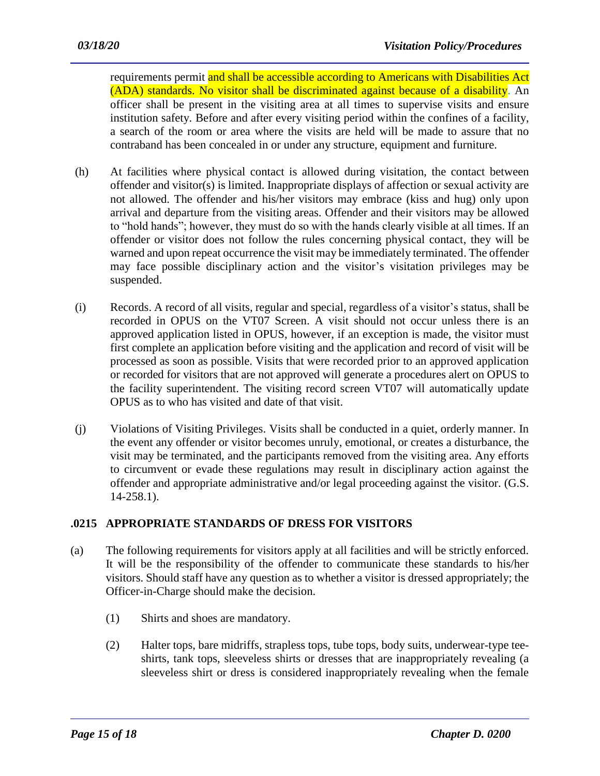requirements permit and shall be accessible according to Americans with Disabilities Act (ADA) standards. No visitor shall be discriminated against because of a disability. An officer shall be present in the visiting area at all times to supervise visits and ensure institution safety. Before and after every visiting period within the confines of a facility, a search of the room or area where the visits are held will be made to assure that no contraband has been concealed in or under any structure, equipment and furniture.

- (h) At facilities where physical contact is allowed during visitation, the contact between offender and visitor(s) is limited. Inappropriate displays of affection or sexual activity are not allowed. The offender and his/her visitors may embrace (kiss and hug) only upon arrival and departure from the visiting areas. Offender and their visitors may be allowed to "hold hands"; however, they must do so with the hands clearly visible at all times. If an offender or visitor does not follow the rules concerning physical contact, they will be warned and upon repeat occurrence the visit may be immediately terminated. The offender may face possible disciplinary action and the visitor's visitation privileges may be suspended.
- (i) Records. A record of all visits, regular and special, regardless of a visitor's status, shall be recorded in OPUS on the VT07 Screen. A visit should not occur unless there is an approved application listed in OPUS, however, if an exception is made, the visitor must first complete an application before visiting and the application and record of visit will be processed as soon as possible. Visits that were recorded prior to an approved application or recorded for visitors that are not approved will generate a procedures alert on OPUS to the facility superintendent. The visiting record screen VT07 will automatically update OPUS as to who has visited and date of that visit.
- (j) Violations of Visiting Privileges. Visits shall be conducted in a quiet, orderly manner. In the event any offender or visitor becomes unruly, emotional, or creates a disturbance, the visit may be terminated, and the participants removed from the visiting area. Any efforts to circumvent or evade these regulations may result in disciplinary action against the offender and appropriate administrative and/or legal proceeding against the visitor. (G.S. 14-258.1).

## **.0215 APPROPRIATE STANDARDS OF DRESS FOR VISITORS**

- (a) The following requirements for visitors apply at all facilities and will be strictly enforced. It will be the responsibility of the offender to communicate these standards to his/her visitors. Should staff have any question as to whether a visitor is dressed appropriately; the Officer-in-Charge should make the decision.
	- (1) Shirts and shoes are mandatory.
	- (2) Halter tops, bare midriffs, strapless tops, tube tops, body suits, underwear-type teeshirts, tank tops, sleeveless shirts or dresses that are inappropriately revealing (a sleeveless shirt or dress is considered inappropriately revealing when the female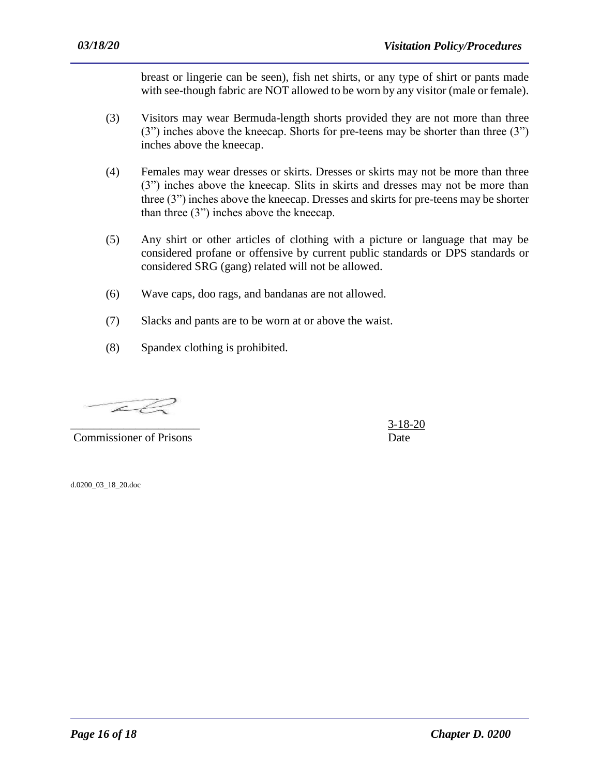breast or lingerie can be seen), fish net shirts, or any type of shirt or pants made with see-though fabric are NOT allowed to be worn by any visitor (male or female).

- (3) Visitors may wear Bermuda-length shorts provided they are not more than three (3") inches above the kneecap. Shorts for pre-teens may be shorter than three (3") inches above the kneecap.
- (4) Females may wear dresses or skirts. Dresses or skirts may not be more than three (3") inches above the kneecap. Slits in skirts and dresses may not be more than three (3") inches above the kneecap. Dresses and skirts for pre-teens may be shorter than three (3") inches above the kneecap.
- (5) Any shirt or other articles of clothing with a picture or language that may be considered profane or offensive by current public standards or DPS standards or considered SRG (gang) related will not be allowed.
- (6) Wave caps, doo rags, and bandanas are not allowed.
- (7) Slacks and pants are to be worn at or above the waist.

(8) Spandex clothing is prohibited.

 $\mathcal{L} \neq$ 

**Commissioner of Prisons** Date

 $3-18-20$ 

d.0200\_03\_18\_20.doc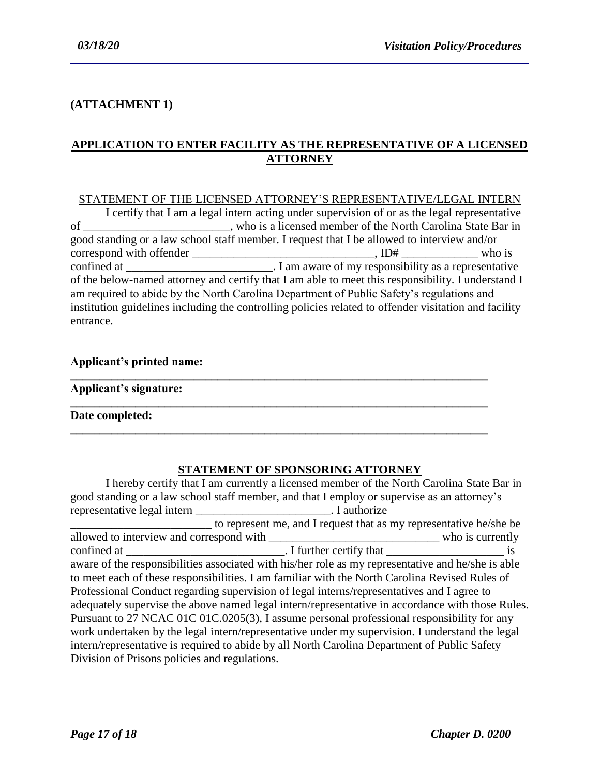## **(ATTACHMENT 1)**

## **APPLICATION TO ENTER FACILITY AS THE REPRESENTATIVE OF A LICENSED ATTORNEY**

#### STATEMENT OF THE LICENSED ATTORNEY'S REPRESENTATIVE/LEGAL INTERN

I certify that I am a legal intern acting under supervision of or as the legal representative of \_\_\_\_\_\_\_\_\_\_\_\_\_\_\_\_\_\_\_\_\_\_\_\_\_, who is a licensed member of the North Carolina State Bar in good standing or a law school staff member. I request that I be allowed to interview and/or correspond with offender  $\frac{1}{\sqrt{2}}$  who is confined at \_\_\_\_\_\_\_\_\_\_\_\_\_\_\_\_\_\_\_\_\_\_\_\_\_. I am aware of my responsibility as a representative of the below-named attorney and certify that I am able to meet this responsibility. I understand I am required to abide by the North Carolina Department of Public Safety's regulations and institution guidelines including the controlling policies related to offender visitation and facility entrance.

**\_\_\_\_\_\_\_\_\_\_\_\_\_\_\_\_\_\_\_\_\_\_\_\_\_\_\_\_\_\_\_\_\_\_\_\_\_\_\_\_\_\_\_\_\_\_\_\_\_\_\_\_\_\_\_\_\_\_\_\_\_\_\_\_\_\_\_\_\_\_\_**

**\_\_\_\_\_\_\_\_\_\_\_\_\_\_\_\_\_\_\_\_\_\_\_\_\_\_\_\_\_\_\_\_\_\_\_\_\_\_\_\_\_\_\_\_\_\_\_\_\_\_\_\_\_\_\_\_\_\_\_\_\_\_\_\_\_\_\_\_\_\_\_**

**\_\_\_\_\_\_\_\_\_\_\_\_\_\_\_\_\_\_\_\_\_\_\_\_\_\_\_\_\_\_\_\_\_\_\_\_\_\_\_\_\_\_\_\_\_\_\_\_\_\_\_\_\_\_\_\_\_\_\_\_\_\_\_\_\_\_\_\_\_\_\_**

#### **Applicant's printed name:**

| Applicant's signature: |  |
|------------------------|--|
|------------------------|--|

**Date completed:** 

## **STATEMENT OF SPONSORING ATTORNEY**

I hereby certify that I am currently a licensed member of the North Carolina State Bar in good standing or a law school staff member, and that I employ or supervise as an attorney's representative legal intern \_\_\_\_\_\_\_\_\_\_\_\_\_\_\_\_\_\_\_\_\_\_\_. I authorize \_\_\_\_\_\_\_\_\_\_\_\_\_\_\_\_\_\_\_\_\_\_\_\_ to represent me, and I request that as my representative he/she be allowed to interview and correspond with \_\_\_\_\_\_\_\_\_\_\_\_\_\_\_\_\_\_\_\_\_\_\_\_\_\_\_\_\_ who is currently confined at  $\frac{1}{\sqrt{2}}$  is aware of the responsibilities associated with his/her role as my representative and he/she is able to meet each of these responsibilities. I am familiar with the North Carolina Revised Rules of Professional Conduct regarding supervision of legal interns/representatives and I agree to adequately supervise the above named legal intern/representative in accordance with those Rules. Pursuant to 27 NCAC 01C 01C.0205(3), I assume personal professional responsibility for any work undertaken by the legal intern/representative under my supervision. I understand the legal intern/representative is required to abide by all North Carolina Department of Public Safety Division of Prisons policies and regulations.